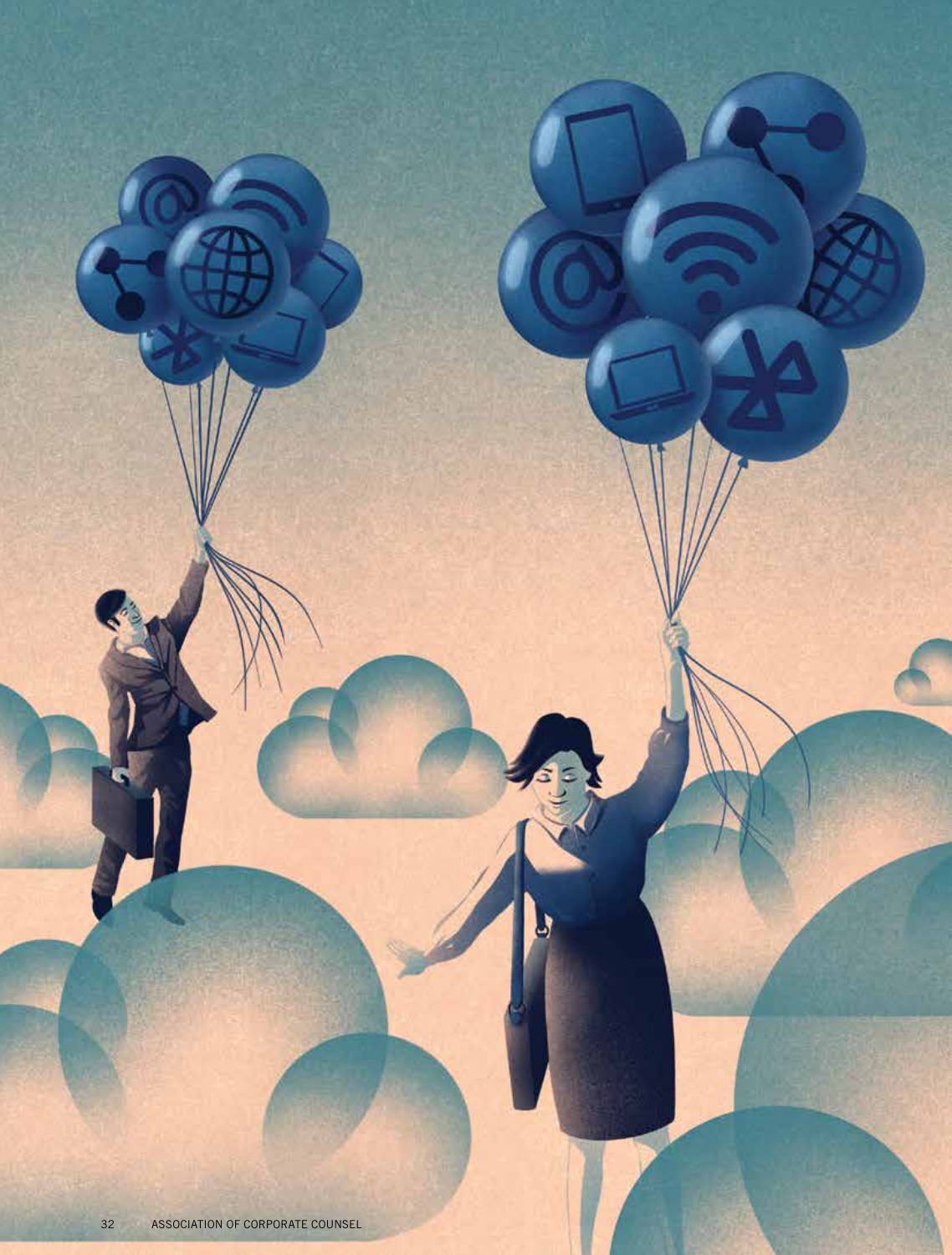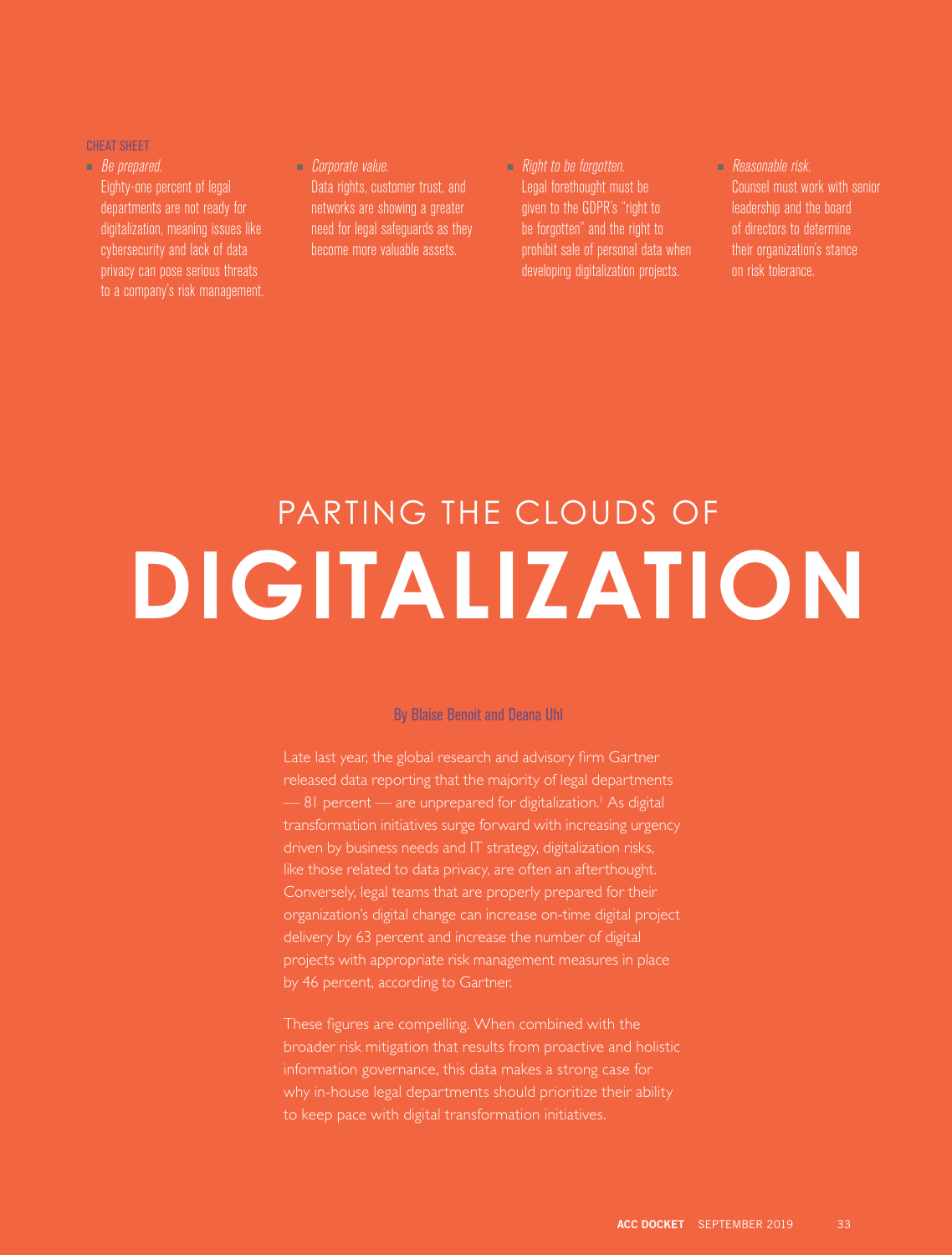CHEAT SHEET

- Be prepared. Eighty-one percent of legal departments are not ready for digitalization, meaning issues like cybersecurity and lack of data privacy can pose serious threats to a company's risk management.
- *Corporate value.* Data rights, customer trust, and networks are showing a greater need for legal safeguards as they become more valuable assets.
- Right to be forgotten. Legal forethought must be given to the GDPR's "right to be forgotten" and the right to prohibit sale of personal data when developing digitalization projects.
- Reasonable risk. Counsel must work with senior leadership and the board of directors to determine their organization's stance on risk tolerance.

# PARTING THE CLOUDS OF **DIGITALIZATION**

## By Blaise Benoit and Deana Uhl

Late last year, the global research and advisory firm Gartner released data reporting that the majority of legal departments — 81 percent — are unprepared for digitalization.<sup>1</sup> As digital transformation initiatives surge forward with increasing urgency driven by business needs and IT strategy, digitalization risks, like those related to data privacy, are often an afterthought. Conversely, legal teams that are properly prepared for their organization's digital change can increase on-time digital project delivery by 63 percent and increase the number of digital projects with appropriate risk management measures in place by 46 percent, according to Gartner.

These figures are compelling. When combined with the broader risk mitigation that results from proactive and holistic information governance, this data makes a strong case for why in-house legal departments should prioritize their ability to keep pace with digital transformation initiatives.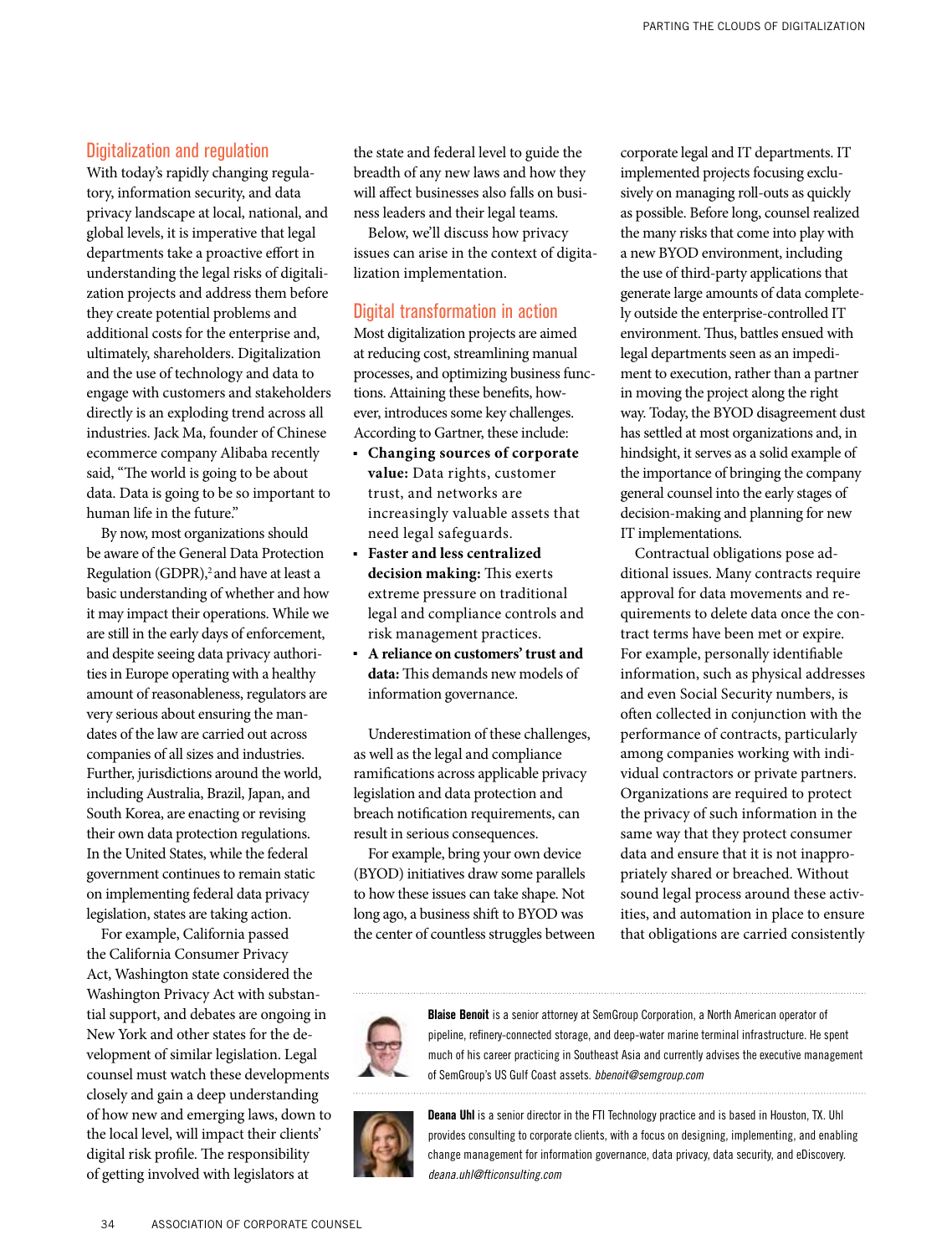## Digitalization and regulation

With today's rapidly changing regulatory, information security, and data privacy landscape at local, national, and global levels, it is imperative that legal departments take a proactive effort in understanding the legal risks of digitalization projects and address them before they create potential problems and additional costs for the enterprise and, ultimately, shareholders. Digitalization and the use of technology and data to engage with customers and stakeholders directly is an exploding trend across all industries. Jack Ma, founder of Chinese ecommerce company Alibaba recently said, "The world is going to be about data. Data is going to be so important to human life in the future."

By now, most organizations should be aware of the General Data Protection Regulation (GDPR),<sup>2</sup> and have at least a basic understanding of whether and how it may impact their operations. While we are still in the early days of enforcement, and despite seeing data privacy authorities in Europe operating with a healthy amount of reasonableness, regulators are very serious about ensuring the mandates of the law are carried out across companies of all sizes and industries. Further, jurisdictions around the world, including Australia, Brazil, Japan, and South Korea, are enacting or revising their own data protection regulations. In the United States, while the federal government continues to remain static on implementing federal data privacy legislation, states are taking action.

For example, California passed the California Consumer Privacy Act, Washington state considered the Washington Privacy Act with substantial support, and debates are ongoing in New York and other states for the development of similar legislation. Legal counsel must watch these developments closely and gain a deep understanding of how new and emerging laws, down to the local level, will impact their clients' digital risk profile. The responsibility of getting involved with legislators at

the state and federal level to guide the breadth of any new laws and how they will affect businesses also falls on business leaders and their legal teams.

Below, we'll discuss how privacy issues can arise in the context of digitalization implementation.

## Digital transformation in action

Most digitalization projects are aimed at reducing cost, streamlining manual processes, and optimizing business functions. Attaining these benefits, however, introduces some key challenges. According to Gartner, these include:

- **Changing sources of corporate value:** Data rights, customer trust, and networks are increasingly valuable assets that need legal safeguards.
- **Faster and less centralized decision making:** This exerts extreme pressure on traditional legal and compliance controls and risk management practices.
- **A reliance on customers' trust and data:** This demands new models of information governance.

Underestimation of these challenges, as well as the legal and compliance ramifications across applicable privacy legislation and data protection and breach notification requirements, can result in serious consequences.

For example, bring your own device (BYOD) initiatives draw some parallels to how these issues can take shape. Not long ago, a business shift to BYOD was the center of countless struggles between corporate legal and IT departments. IT implemented projects focusing exclusively on managing roll-outs as quickly as possible. Before long, counsel realized the many risks that come into play with a new BYOD environment, including the use of third-party applications that generate large amounts of data completely outside the enterprise-controlled IT environment. Thus, battles ensued with legal departments seen as an impediment to execution, rather than a partner in moving the project along the right way. Today, the BYOD disagreement dust has settled at most organizations and, in hindsight, it serves as a solid example of the importance of bringing the company general counsel into the early stages of decision-making and planning for new IT implementations.

Contractual obligations pose additional issues. Many contracts require approval for data movements and requirements to delete data once the contract terms have been met or expire. For example, personally identifiable information, such as physical addresses and even Social Security numbers, is often collected in conjunction with the performance of contracts, particularly among companies working with individual contractors or private partners. Organizations are required to protect the privacy of such information in the same way that they protect consumer data and ensure that it is not inappropriately shared or breached. Without sound legal process around these activities, and automation in place to ensure that obligations are carried consistently



**Blaise Benoit** is a senior attorney at SemGroup Corporation, a North American operator of pipeline, refinery-connected storage, and deep-water marine terminal infrastructure. He spent much of his career practicing in Southeast Asia and currently advises the executive management of SemGroup's US Gulf Coast assets. *bbenoit@semgroup.com*



**Deana Uhl** is a senior director in the FTI Technology practice and is based in Houston, TX. Uhl provides consulting to corporate clients, with a focus on designing, implementing, and enabling change management for information governance, data privacy, data security, and eDiscovery. *deana.uhl@fticonsulting.com*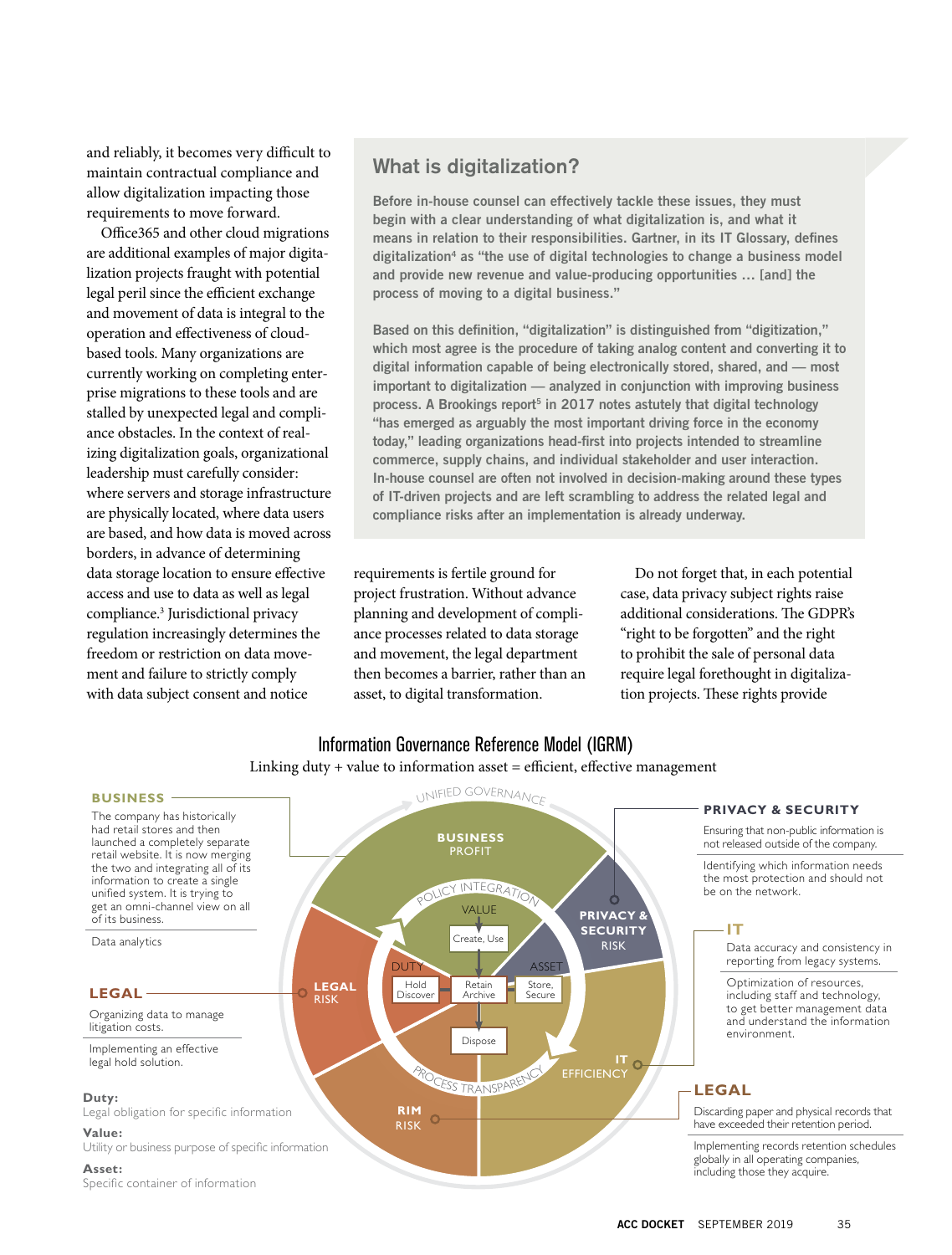and reliably, it becomes very difficult to maintain contractual compliance and allow digitalization impacting those requirements to move forward.

Office365 and other cloud migrations are additional examples of major digitalization projects fraught with potential legal peril since the efficient exchange and movement of data is integral to the operation and effectiveness of cloudbased tools. Many organizations are currently working on completing enterprise migrations to these tools and are stalled by unexpected legal and compliance obstacles. In the context of realizing digitalization goals, organizational leadership must carefully consider: where servers and storage infrastructure are physically located, where data users are based, and how data is moved across borders, in advance of determining data storage location to ensure effective access and use to data as well as legal compliance.3 Jurisdictional privacy regulation increasingly determines the freedom or restriction on data movement and failure to strictly comply with data subject consent and notice

## What is digitalization?

**Before in-house counsel can effectively tackle these issues, they must begin with a clear understanding of what digitalization is, and what it means in relation to their responsibilities. Gartner, in its IT Glossary, defines digitalization4 as "the use of digital technologies to change a business model and provide new revenue and value-producing opportunities … [and] the process of moving to a digital business."** 

**Based on this definition, "digitalization" is distinguished from "digitization," which most agree is the procedure of taking analog content and converting it to digital information capable of being electronically stored, shared, and — most important to digitalization — analyzed in conjunction with improving business process. A Brookings report5 in 2017 notes astutely that digital technology "has emerged as arguably the most important driving force in the economy today," leading organizations head-first into projects intended to streamline commerce, supply chains, and individual stakeholder and user interaction. In-house counsel are often not involved in decision-making around these types of IT-driven projects and are left scrambling to address the related legal and compliance risks after an implementation is already underway.** 

requirements is fertile ground for project frustration. Without advance planning and development of compliance processes related to data storage and movement, the legal department then becomes a barrier, rather than an asset, to digital transformation.

Do not forget that, in each potential case, data privacy subject rights raise additional considerations. The GDPR's "right to be forgotten" and the right to prohibit the sale of personal data require legal forethought in digitalization projects. These rights provide

## Information Governance Reference Model (IGRM)

Linking duty + value to information asset = efficient, effective management

#### **BUSINESS**

The company has historically had retail stores and then launched a completely separate retail website. It is now merging the two and integrating all of its information to create a single unified system. It is trying to get an omni-channel view on all of its business.

Data analytics

### **LEGAL**

#### Organizing data to manage litigation costs.

Implementing an effective legal hold solution.

#### **Duty:**

Legal obligation for specific information

## **Value:**

Utility or business purpose of specific information

#### **Asset:**

Specific container of information



#### **PRIVACY & SECURITY**

Ensuring that non-public information is not released outside of the company.

Identifying which information needs the most protection and should not be on the network.

#### **IT**

Data accuracy and consistency in reporting from legacy systems.

Optimization of resources, including staff and technology, to get better management data and understand the information environment.

## **LEGAL**

Discarding paper and physical records that have exceeded their retention period.

Implementing records retention schedules globally in all operating companies, including those they acquire.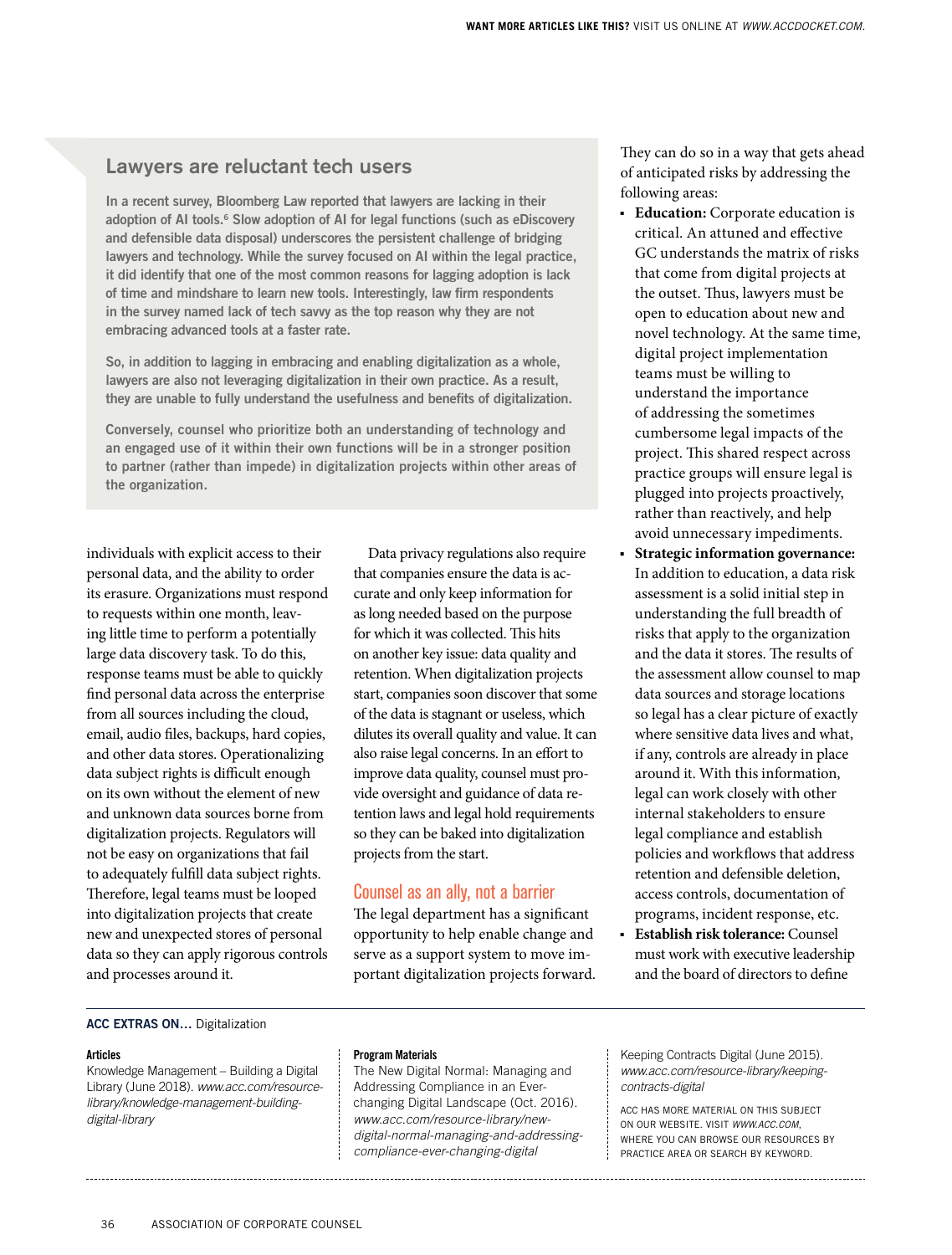## Lawyers are reluctant tech users

**In a recent survey, Bloomberg Law reported that lawyers are lacking in their adoption of AI tools.6 Slow adoption of AI for legal functions (such as eDiscovery and defensible data disposal) underscores the persistent challenge of bridging lawyers and technology. While the survey focused on AI within the legal practice, it did identify that one of the most common reasons for lagging adoption is lack of time and mindshare to learn new tools. Interestingly, law firm respondents in the survey named lack of tech savvy as the top reason why they are not embracing advanced tools at a faster rate.** 

**So, in addition to lagging in embracing and enabling digitalization as a whole, lawyers are also not leveraging digitalization in their own practice. As a result, they are unable to fully understand the usefulness and benefits of digitalization.** 

**Conversely, counsel who prioritize both an understanding of technology and an engaged use of it within their own functions will be in a stronger position to partner (rather than impede) in digitalization projects within other areas of the organization.** 

individuals with explicit access to their personal data, and the ability to order its erasure. Organizations must respond to requests within one month, leaving little time to perform a potentially large data discovery task. To do this, response teams must be able to quickly find personal data across the enterprise from all sources including the cloud, email, audio files, backups, hard copies, and other data stores. Operationalizing data subject rights is difficult enough on its own without the element of new and unknown data sources borne from digitalization projects. Regulators will not be easy on organizations that fail to adequately fulfill data subject rights. Therefore, legal teams must be looped into digitalization projects that create new and unexpected stores of personal data so they can apply rigorous controls and processes around it.

Data privacy regulations also require that companies ensure the data is accurate and only keep information for as long needed based on the purpose for which it was collected. This hits on another key issue: data quality and retention. When digitalization projects start, companies soon discover that some of the data is stagnant or useless, which dilutes its overall quality and value. It can also raise legal concerns. In an effort to improve data quality, counsel must provide oversight and guidance of data retention laws and legal hold requirements so they can be baked into digitalization projects from the start.

## Counsel as an ally, not a barrier

The legal department has a significant opportunity to help enable change and serve as a support system to move important digitalization projects forward.

They can do so in a way that gets ahead of anticipated risks by addressing the following areas:

- **Education:** Corporate education is critical. An attuned and effective GC understands the matrix of risks that come from digital projects at the outset. Thus, lawyers must be open to education about new and novel technology. At the same time, digital project implementation teams must be willing to understand the importance of addressing the sometimes cumbersome legal impacts of the project. This shared respect across practice groups will ensure legal is plugged into projects proactively, rather than reactively, and help avoid unnecessary impediments.
- **Strategic information governance:** In addition to education, a data risk assessment is a solid initial step in understanding the full breadth of risks that apply to the organization and the data it stores. The results of the assessment allow counsel to map data sources and storage locations so legal has a clear picture of exactly where sensitive data lives and what, if any, controls are already in place around it. With this information, legal can work closely with other internal stakeholders to ensure legal compliance and establish policies and workflows that address retention and defensible deletion, access controls, documentation of programs, incident response, etc.
- **Establish risk tolerance:** Counsel must work with executive leadership and the board of directors to define

#### **ACC EXTRAS ON…** Digitalization

#### **Articles**

Knowledge Management – Building a Digital Library (June 2018). *www.acc.com/resourcelibrary/knowledge-management-buildingdigital-library*

### **Program Materials**

The New Digital Normal: Managing and Addressing Compliance in an Everchanging Digital Landscape (Oct. 2016). *www.acc.com/resource-library/newdigital-normal-managing-and-addressingcompliance-ever-changing-digital*

Keeping Contracts Digital (June 2015). *www.acc.com/resource-library/keepingcontracts-digital*

ACC HAS MORE MATERIAL ON THIS SUBJECT ON OUR WEBSITE. VISIT *WWW.ACC.COM*, WHERE YOU CAN BROWSE OUR RESOURCES BY PRACTICE AREA OR SEARCH BY KEYWORD.